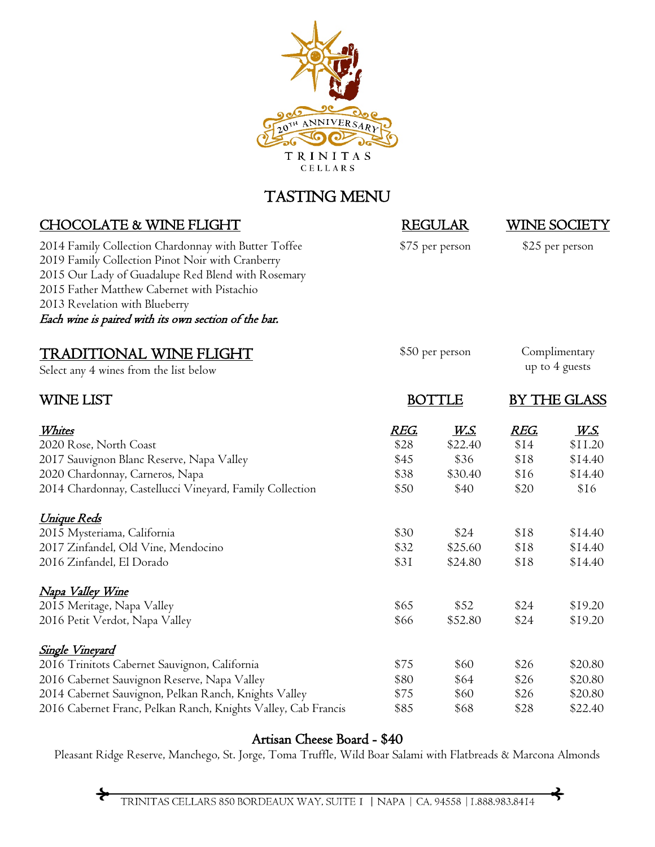

## TASTING MENU

| <b>CHOCOLATE &amp; WINE FLIGHT</b>                                                                                                                                                                                                                                                                      | <b>REGULAR</b><br>\$75 per person |             | WINE SOCIETY<br>\$25 per person |                |
|---------------------------------------------------------------------------------------------------------------------------------------------------------------------------------------------------------------------------------------------------------------------------------------------------------|-----------------------------------|-------------|---------------------------------|----------------|
| 2014 Family Collection Chardonnay with Butter Toffee<br>2019 Family Collection Pinot Noir with Cranberry<br>2015 Our Lady of Guadalupe Red Blend with Rosemary<br>2015 Father Matthew Cabernet with Pistachio<br>2013 Revelation with Blueberry<br>Each wine is paired with its own section of the bar. |                                   |             |                                 |                |
| <u>TRADITIONAL WINE FLIGHT</u>                                                                                                                                                                                                                                                                          | \$50 per person                   |             | Complimentary                   |                |
| Select any 4 wines from the list below                                                                                                                                                                                                                                                                  |                                   |             |                                 | up to 4 guests |
| WINE LIST                                                                                                                                                                                                                                                                                               | <b>BOTTLE</b>                     |             | BY THE GLASS                    |                |
| <u>Whites</u>                                                                                                                                                                                                                                                                                           | <u>REG.</u>                       | <u>W.S.</u> | <u>REG.</u>                     | <u>W.S.</u>    |
| 2020 Rose, North Coast                                                                                                                                                                                                                                                                                  | \$28                              | \$22.40     | \$14                            | \$11.20        |
| 2017 Sauvignon Blanc Reserve, Napa Valley                                                                                                                                                                                                                                                               | \$45                              | \$36        | \$18                            | \$14.40        |
| 2020 Chardonnay, Carneros, Napa                                                                                                                                                                                                                                                                         | \$38                              | \$30.40     | \$16                            | \$14.40        |
| 2014 Chardonnay, Castellucci Vineyard, Family Collection                                                                                                                                                                                                                                                | \$50                              | \$40        | \$20                            | \$16           |
| <u> Unique Reds</u>                                                                                                                                                                                                                                                                                     |                                   |             |                                 |                |
| 2015 Mysteriama, California                                                                                                                                                                                                                                                                             | \$30                              | \$24        | \$18                            | \$14.40        |
| 2017 Zinfandel, Old Vine, Mendocino                                                                                                                                                                                                                                                                     | \$32                              | \$25.60     | \$18                            | \$14.40        |
| 2016 Zinfandel, El Dorado                                                                                                                                                                                                                                                                               | \$31                              | \$24.80     | \$18                            | \$14.40        |
| <u>Napa Valley Wine</u>                                                                                                                                                                                                                                                                                 |                                   |             |                                 |                |
| 2015 Meritage, Napa Valley                                                                                                                                                                                                                                                                              | \$65                              | \$52        | \$24                            | \$19.20        |
| 2016 Petit Verdot, Napa Valley                                                                                                                                                                                                                                                                          | \$66                              | \$52.80     | \$24                            | \$19.20        |
| <u>Single Vineyard</u>                                                                                                                                                                                                                                                                                  |                                   |             |                                 |                |
| 2016 Trinitots Cabernet Sauvignon, California                                                                                                                                                                                                                                                           | \$75                              | \$60        | \$26                            | \$20.80        |
| 2016 Cabernet Sauvignon Reserve, Napa Valley                                                                                                                                                                                                                                                            | \$80                              | \$64        | \$26                            | \$20.80        |
| 2014 Cabernet Sauvignon, Pelkan Ranch, Knights Valley                                                                                                                                                                                                                                                   | \$75                              | \$60        | \$26                            | \$20.80        |
| 2016 Cabernet Franc, Pelkan Ranch, Knights Valley, Cab Francis                                                                                                                                                                                                                                          | \$85                              | \$68        | \$28                            | \$22.40        |

## Artisan Cheese Board - \$40

Pleasant Ridge Reserve, Manchego, St. Jorge, Toma Truffle, Wild Boar Salami with Flatbreads & Marcona Almonds

✦

 $\div$